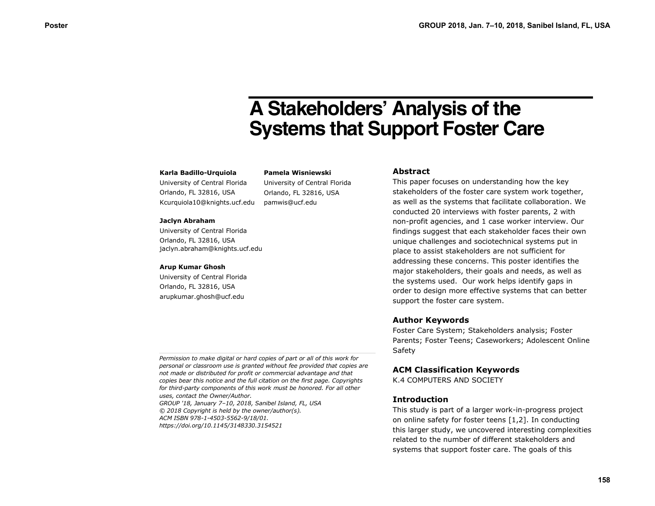# **A Stakeholders' Analysis of the Systems that Support Foster Care**

#### **Karla Badillo-Urquiola**

University of Central Florida Orlando, FL 32816, USA Kcurquiola10@knights.ucf.edu

**Pamela Wisniewski** University of Central Florida Orlando, FL 32816, USA pamwis@ucf.edu

#### **Jaclyn Abraham**

University of Central Florida Orlando, FL 32816, USA jaclyn.abraham@knights.ucf.edu

#### **Arup Kumar Ghosh**

University of Central Florida Orlando, FL 32816, USA arupkumar.ghosh@ucf.edu

## **Abstract**

This paper focuses on understanding how the key stakeholders of the foster care system work together, as well as the systems that facilitate collaboration. We conducted 20 interviews with foster parents, 2 with non-profit agencies, and 1 case worker interview. Our findings suggest that each stakeholder faces their own unique challenges and sociotechnical systems put in place to assist stakeholders are not sufficient for addressing these concerns. This poster identifies the major stakeholders, their goals and needs, as well as the systems used. Our work helps identify gaps in order to design more effective systems that can better support the foster care system.

## **Author Keywords**

Foster Care System; Stakeholders analysis; Foster Parents; Foster Teens; Caseworkers; Adolescent Online Safety

## **ACM Classification Keywords**

K.4 COMPUTERS AND SOCIETY

#### **Introduction**

This study is part of a larger work-in-progress project on online safety for foster teens [1,2]. In conducting this larger study, we uncovered interesting complexities related to the number of different stakeholders and systems that support foster care. The goals of this

*Permission to make digital or hard copies of part or all of this work for personal or classroom use is granted without fee provided that copies are not made or distributed for profit or commercial advantage and that copies bear this notice and the full citation on the first page. Copyrights for third-party components of this work must be honored. For all other uses, contact the Owner/Author. GROUP '18, January 7–10, 2018, Sanibel Island, FL, USA © 2018 Copyright is held by the owner/author(s).*

*ACM ISBN 978-1-4503-5562-9/18/01. https://doi.org/10.1145/3148330.3154521*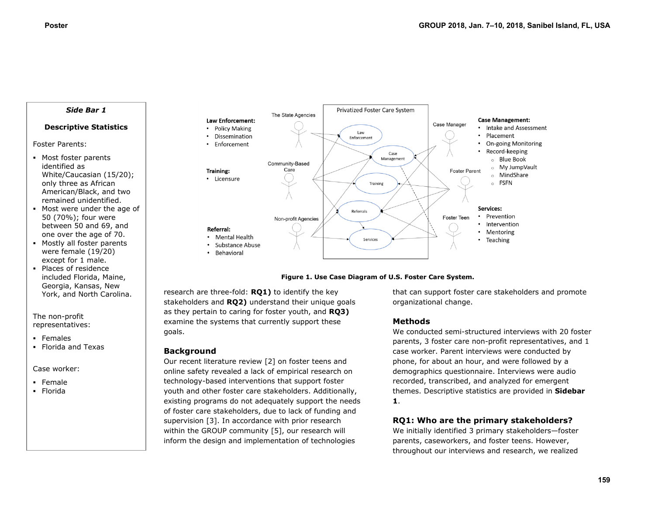### *Side Bar 1*

## **Descriptive Statistics**

Foster Parents:

- Most foster parents identified as White/Caucasian (15/20); only three as African American/Black, and two remained unidentified.
- Most were under the age of 50 (70%); four were between 50 and 69, and one over the age of 70.
- Mostly all foster parents were female (19/20) except for 1 male.
- Places of residence included Florida, Maine, Georgia, Kansas, New York, and North Carolina.

The non-profit representatives:

- **Females**
- **Florida and Texas**

#### Case worker:

- Female
- Florida





research are three-fold: **RQ1)** to identify the key stakeholders and **RQ2)** understand their unique goals as they pertain to caring for foster youth, and **RQ3)**  examine the systems that currently support these goals.

## **Background**

Our recent literature review [2] on foster teens and online safety revealed a lack of empirical research on technology-based interventions that support foster youth and other foster care stakeholders. Additionally, existing programs do not adequately support the needs of foster care stakeholders, due to lack of funding and supervision [3]. In accordance with prior research within the GROUP community [5], our research will inform the design and implementation of technologies

that can support foster care stakeholders and promote organizational change.

# **Methods**

We conducted semi-structured interviews with 20 foster parents, 3 foster care non-profit representatives, and 1 case worker. Parent interviews were conducted by phone, for about an hour, and were followed by a demographics questionnaire. Interviews were audio recorded, transcribed, and analyzed for emergent themes. Descriptive statistics are provided in **Sidebar 1**.

## **RQ1: Who are the primary stakeholders?**

We initially identified 3 primary stakeholders—foster parents, caseworkers, and foster teens. However, throughout our interviews and research, we realized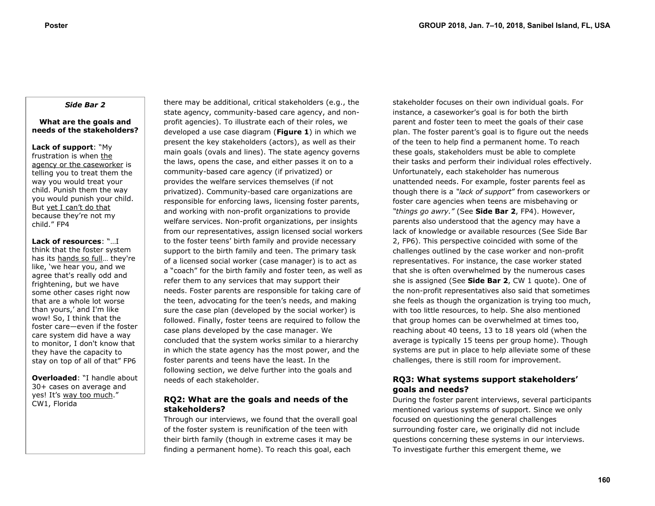## *Side Bar 2*

### **What are the goals and needs of the stakeholders?**

**Lack of support**: "My frustration is when the agency or the caseworker is telling you to treat them the way you would treat your child. Punish them the way you would punish your child. But yet I can't do that because they're not my child." FP4

**Lack of resources**: "…I think that the foster system has its hands so full… they're like, 'we hear you, and we agree that's really odd and frightening, but we have some other cases right now that are a whole lot worse than yours,' and I'm like wow! So, I think that the foster care—even if the foster care system did have a way to monitor, I don't know that they have the capacity to stay on top of all of that" FP6

**Overloaded**: "I handle about 30+ cases on average and yes! It's way too much." CW1, Florida

there may be additional, critical stakeholders (e.g., the state agency, community-based care agency, and nonprofit agencies). To illustrate each of their roles, we developed a use case diagram (**Figure 1**) in which we present the key stakeholders (actors), as well as their main goals (ovals and lines). The state agency governs the laws, opens the case, and either passes it on to a community-based care agency (if privatized) or provides the welfare services themselves (if not privatized). Community-based care organizations are responsible for enforcing laws, licensing foster parents, and working with non-profit organizations to provide welfare services. Non-profit organizations, per insights from our representatives, assign licensed social workers to the foster teens' birth family and provide necessary support to the birth family and teen. The primary task of a licensed social worker (case manager) is to act as a "coach" for the birth family and foster teen, as well as refer them to any services that may support their needs. Foster parents are responsible for taking care of the teen, advocating for the teen's needs, and making sure the case plan (developed by the social worker) is followed. Finally, foster teens are required to follow the case plans developed by the case manager. We concluded that the system works similar to a hierarchy in which the state agency has the most power, and the foster parents and teens have the least. In the following section, we delve further into the goals and needs of each stakeholder.

## **RQ2: What are the goals and needs of the stakeholders?**

Through our interviews, we found that the overall goal of the foster system is reunification of the teen with their birth family (though in extreme cases it may be finding a permanent home). To reach this goal, each

stakeholder focuses on their own individual goals. For instance, a caseworker's goal is for both the birth parent and foster teen to meet the goals of their case plan. The foster parent's goal is to figure out the needs of the teen to help find a permanent home. To reach these goals, stakeholders must be able to complete their tasks and perform their individual roles effectively. Unfortunately, each stakeholder has numerous unattended needs. For example, foster parents feel as though there is a *"lack of support*" from caseworkers or foster care agencies when teens are misbehaving or *"things go awry."* (See **Side Bar 2**, FP4). However, parents also understood that the agency may have a lack of knowledge or available resources (See Side Bar 2, FP6). This perspective coincided with some of the challenges outlined by the case worker and non-profit representatives. For instance, the case worker stated that she is often overwhelmed by the numerous cases she is assigned (See **Side Bar 2**, CW 1 quote). One of the non-profit representatives also said that sometimes she feels as though the organization is trying too much, with too little resources, to help. She also mentioned that group homes can be overwhelmed at times too, reaching about 40 teens, 13 to 18 years old (when the average is typically 15 teens per group home). Though systems are put in place to help alleviate some of these challenges, there is still room for improvement.

# **RQ3: What systems support stakeholders' goals and needs?**

During the foster parent interviews, several participants mentioned various systems of support. Since we only focused on questioning the general challenges surrounding foster care, we originally did not include questions concerning these systems in our interviews. To investigate further this emergent theme, we